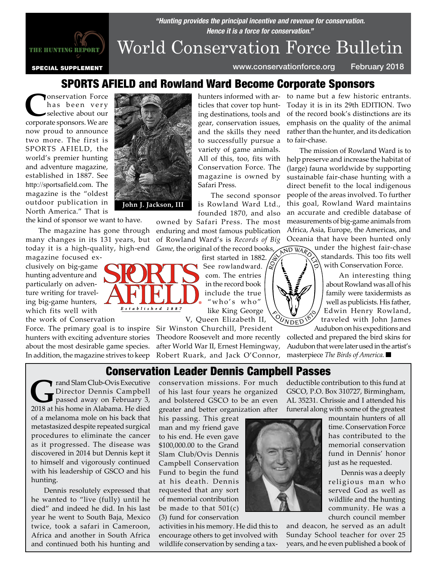

# *Hence it is a force for conservation."* World Conservation Force Bulletin

*"Hunting provides the principal incentive and revenue for conservation.* 

special supplement www.conservationforce.org February 2018

### SPORTS AFIELD and Rowland Ward Become Corporate Sponsors

Conservation Force<br>
has been very<br>
selective about our<br>
corporate sponsors We are has been very corporate sponsors. We are now proud to announce two more. The first is SPORTS AFIELD, the world's premier hunting and adventure magazine, established in 1887. See http://sportsafield.com. The magazine is the "oldest outdoor publication in North America." That is

the kind of sponsor we want to have.

The magazine has gone through many changes in its 131 years, but today it is a high-quality, high-end magazine focused ex-

clusively on big-game hunting adventure and particularly on adventure writing for traveling big-game hunters, which fits well with

the work of Conservation

Force. The primary goal is to inspire Sir Winston Churchill, President hunters with exciting adventure stories about the most desirable game species. In addition, the magazine strives to keep



**John J. Jackson, III**

Established 1887

hunters informed with articles that cover top hunting destinations, tools and gear, conservation issues, and the skills they need to successfully pursue a variety of game animals. Conservation Force. The magazine is owned by Safari Press.

The second sponsor is Rowland Ward Ltd., founded 1870, and also

owned by Safari Press. The most enduring and most famous publication of Rowland Ward's is *Records of Big Game*, the original of the record books,<br>first started in 1882.  $\frac{2}{3}$ ,

first started in 1882. See rowlandward. com. The entries in the record book include the true " who's  $who"$ like King George

V, Queen Elizabeth II, FOUNDED 1870

Theodore Roosevelt and more recently after World War II, Ernest Hemingway, Robert Ruark, and Jack O'Connor,

to name but a few historic entrants. Today it is in its 29th EDITION. Two of the record book's distinctions are its emphasis on the quality of the animal rather than the hunter, and its dedication to fair-chase.

All of this, too, fits with help preserve and increase the habitat of The mission of Rowland Ward is to (large) fauna worldwide by supporting sustainable fair-chase hunting with a direct benefit to the local indigenous people of the areas involved. To further this goal, Rowland Ward maintains an accurate and credible database of measurements of big-game animals from Africa, Asia, Europe, the Americas, and Oceania that have been hunted only under the highest fair-chase ND WARD

standards. This too fits well with Conservation Force.

An interesting thing about Rowland was all of his family were taxidermists as well as publicists. His father, Edwin Henry Rowland, traveled with John James Audubon on his expeditions and

collected and prepared the bird skins for Audubon that were later used in the artist's masterpiece *The Birds of America.* 

### Conservation Leader Dennis Campbell Passes

Frand Slam Club-Ovis Executive<br>
passed away on February 3,<br>
2018 at his home in Alahama He died Director Dennis Campbell 2018 at his home in Alabama. He died of a melanoma mole on his back that metastasized despite repeated surgical procedures to eliminate the cancer as it progressed. The disease was discovered in 2014 but Dennis kept it to himself and vigorously continued with his leadership of GSCO and his hunting.

Dennis resolutely expressed that he wanted to "live (fully) until he died" and indeed he did. In his last year he went to South Baja, Mexico twice, took a safari in Cameroon, Africa and another in South Africa and continued both his hunting and

conservation missions. For much of his last four years he organized and bolstered GSCO to be an even greater and better organization after

his passing. This great man and my friend gave to his end. He even gave \$100,000.00 to the Grand Slam Club/Ovis Dennis Campbell Conservation Fund to begin the fund at his death. Dennis requested that any sort of memorial contribution be made to that 501(c) (3) fund for conservation

activities in his memory. He did this to encourage others to get involved with wildlife conservation by sending a tax-

deductible contribution to this fund at GSCO, P.O. Box 310727, Birmingham, AL 35231. Chrissie and I attended his funeral along with some of the greatest



mountain hunters of all time. Conservation Force has contributed to the memorial conservation fund in Dennis' honor just as he requested.

Dennis was a deeply religious man who served God as well as wildlife and the hunting community. He was a church council member

and deacon, he served as an adult Sunday School teacher for over 25 years, and he even published a book of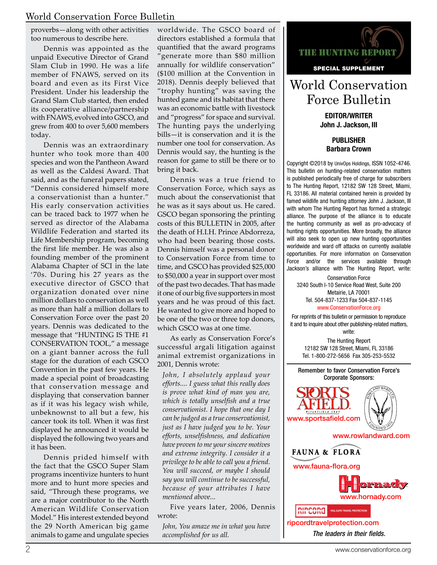#### World Conservation Force Bulletin

proverbs—along with other activities too numerous to describe here.

Dennis was appointed as the unpaid Executive Director of Grand Slam Club in 1990. He was a life member of FNAWS, served on its board and even as its First Vice President. Under his leadership the Grand Slam Club started, then ended its cooperative alliance/partnership with FNAWS, evolved into GSCO, and grew from 400 to over 5,600 members today.

Dennis was an extraordinary hunter who took more than 400 species and won the Pantheon Award as well as the Caldesi Award. That said, and as the funeral papers stated, "Dennis considered himself more a conservationist than a hunter." His early conservation activities can be traced back to 1977 when he served as director of the Alabama Wildlife Federation and started its Life Membership program, becoming the first life member. He was also a founding member of the prominent Alabama Chapter of SCI in the late '70s. During his 27 years as the executive director of GSCO that organization donated over nine million dollars to conservation as well as more than half a million dollars to Conservation Force over the past 20 years. Dennis was dedicated to the message that "HUNTING IS THE #1 CONSERVATION TOOL," a message on a giant banner across the full stage for the duration of each GSCO Convention in the past few years. He made a special point of broadcasting that conservation message and displaying that conservation banner as if it was his legacy wish while, unbeknownst to all but a few, his cancer took its toll. When it was first displayed he announced it would be displayed the following two years and it has been.

Dennis prided himself with the fact that the GSCO Super Slam programs incentivize hunters to hunt more and to hunt more species and said, "Through these programs, we are a major contributor to the North American Wildlife Conservation Model." His interest extended beyond the 29 North American big game animals to game and ungulate species

worldwide. The GSCO board of directors established a formula that quantified that the award programs "generate more than \$80 million annually for wildlife conservation" (\$100 million at the Convention in 2018). Dennis deeply believed that "trophy hunting" was saving the hunted game and its habitat that there was an economic battle with livestock and "progress" for space and survival. The hunting pays the underlying bills—it is conservation and it is the number one tool for conservation. As Dennis would say, the hunting is the reason for game to still be there or to bring it back.

Dennis was a true friend to Conservation Force, which says as much about the conservationist that he was as it says about us. He cared. GSCO began sponsoring the printing costs of this BULLETIN in 2005, after the death of H.I.H. Prince Abdorreza, who had been bearing those costs. Dennis himself was a personal donor to Conservation Force from time to time, and GSCO has provided \$25,000 to \$50,000 a year in support over most of the past two decades. That has made it one of our big five supporters in most years and he was proud of this fact. He wanted to give more and hoped to be one of the two or three top donors, which GSCO was at one time.

As early as Conservation Force's successful argali litigation against animal extremist organizations in 2001, Dennis wrote:

*John, I absolutely applaud your efforts.... I guess what this really does is prove what kind of man you are, which is totally unselfish and a true conservationist. I hope that one day I can be judged as a true conservationist, just as I have judged you to be. Your efforts, unselfishness, and dedication have proven to me your sincere motives and extreme integrity. I consider it a privilege to be able to call you a friend. You will succeed, or maybe I should say you will continue to be successful, because of your attributes I have mentioned above...*

Five years later, 2006, Dennis wrote:

*John, You amaze me in what you have accomplished for us all.*



## World Conservation Force Bulletin

EDITOR/WRITER John J. Jackson, III

PUBLISHER Barbara Crown

Copyright ©2018 by UnivOps Holdings, ISSN 1052-4746. This bulletin on hunting-related conservation matters is published periodically free of charge for subscribers to The Hunting Report, 12182 SW 128 Street, Miami, FL 33186. All material contained herein is provided by famed wildlife and hunting attorney John J. Jackson, III with whom The Hunting Report has formed a strategic alliance. The purpose of the alliance is to educate the hunting community as well as pro-advocacy of hunting rights opportunities. More broadly, the alliance will also seek to open up new hunting opportunities worldwide and ward off attacks on currently available opportunities. For more information on Conservation Force and/or the services available through Jackson's alliance with The Hunting Report, write:

Conservation Force 3240 South I-10 Service Road West, Suite 200 Metairie, LA 70001 Tel. 504-837-1233 Fax 504-837-1145 www.ConservationForce.org

For reprints of this bulletin or permission to reproduce it and to inquire about other publishing-related matters, write:

The Hunting Report 12182 SW 128 Street, Miami, FL 33186 Tel. 1-800-272-5656 Fax 305-253-5532

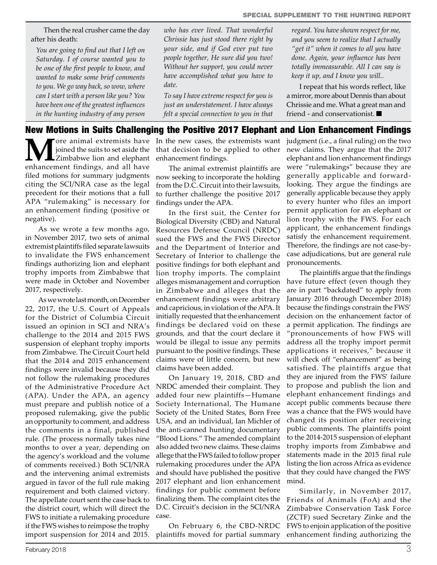Then the real crusher came the day after his death:

*You are going to find out that I left on Saturday. I of course wanted you to be one of the first people to know, and wanted to make some brief comments to you. We go way back, so wow, where can I start with a person like you? You have been one of the greatest influences in the hunting industry of any person*  *who has ever lived. That wonderful Chrissie has just stood there right by your side, and if God ever put two people together, He sure did you two! Without her support, you could never have accomplished what you have to date.*

*To say I have extreme respect for you is just an understatement. I have always felt a special connection to you in that*  *regard. You have shown respect for me, and you seem to realize that I actually "get it" when it comes to all you have done. Again, your influence has been totally immeasurable. All I can say is keep it up, and I know you will..*

I repeat that his words reflect, like a mirror, more about Dennis than about Chrissie and me. What a great man and friend - and conservationist.

#### New Motions in Suits Challenging the Positive 2017 Elephant and Lion Enhancement Findings

**M**ore animal extremists have joined the suits to set aside the Zimbabwe lion and elephant enhancement findings, and all have filed motions for summary judgments citing the SCI/NRA case as the legal precedent for their motions that a full APA "rulemaking" is necessary for an enhancement finding (positive or negative).

As we wrote a few months ago, in November 2017, two sets of animal extremist plaintiffs filed separate lawsuits to invalidate the FWS enhancement findings authorizing lion and elephant trophy imports from Zimbabwe that were made in October and November 2017, respectively.

As we wrote last month, on December 22, 2017, the U.S. Court of Appeals for the District of Columbia Circuit issued an opinion in SCI and NRA's challenge to the 2014 and 2015 FWS suspension of elephant trophy imports from Zimbabwe. The Circuit Court held that the 2014 and 2015 enhancement findings were invalid because they did not follow the rulemaking procedures of the Administrative Procedure Act (APA). Under the APA, an agency must prepare and publish notice of a proposed rulemaking, give the public an opportunity to comment, and address the comments in a final, published rule. (The process normally takes nine months to over a year, depending on the agency's workload and the volume of comments received.) Both SCI/NRA and the intervening animal extremists argued in favor of the full rule making requirement and both claimed victory. The appellate court sent the case back to the district court, which will direct the FWS to initiate a rulemaking procedure if the FWS wishes to reimpose the trophy import suspension for 2014 and 2015.

In the new cases, the extremists want that decision to be applied to other enhancement findings.

The animal extremist plaintiffs are now seeking to incorporate the holding from the D.C. Circuit into their lawsuits, to further challenge the positive 2017 findings under the APA.

In the first suit, the Center for Biological Diversity (CBD) and Natural Resources Defense Council (NRDC) sued the FWS and the FWS Director and the Department of Interior and Secretary of Interior to challenge the positive findings for both elephant and lion trophy imports. The complaint alleges mismanagement and corruption in Zimbabwe and alleges that the enhancement findings were arbitrary and capricious, in violation of the APA. It initially requested that the enhancement findings be declared void on these grounds, and that the court declare it would be illegal to issue any permits pursuant to the positive findings. These claims were of little concern, but new claims have been added.

On January 19, 2018, CBD and NRDC amended their complaint. They added four new plaintiffs—Humane Society International, The Humane Society of the United States, Born Free USA, and an individual, Ian Michler of the anti-canned hunting documentary "Blood Lions." The amended complaint also added two new claims. These claims allege that the FWS failed to follow proper rulemaking procedures under the APA and should have published the positive 2017 elephant and lion enhancement findings for public comment before finalizing them. The complaint cites the D.C. Circuit's decision in the SCI/NRA case.

On February 6, the CBD-NRDC plaintiffs moved for partial summary

judgment (i.e., a final ruling) on the two new claims. They argue that the 2017 elephant and lion enhancement findings were "rulemakings" because they are generally applicable and forwardlooking. They argue the findings are generally applicable because they apply to every hunter who files an import permit application for an elephant or lion trophy with the FWS. For each applicant, the enhancement findings satisfy the enhancement requirement. Therefore, the findings are not case-bycase adjudications, but are general rule pronouncements.

The plaintiffs argue that the findings have future effect (even though they are in part "backdated" to apply from January 2016 through December 2018) because the findings constrain the FWS' decision on the enhancement factor of a permit application. The findings are "pronouncements of how FWS will address all the trophy import permit applications it receives," because it will check off "enhancement" as being satisfied. The plaintiffs argue that they are injured from the FWS' failure to propose and publish the lion and elephant enhancement findings and accept public comments because there was a chance that the FWS would have changed its position after receiving public comments. The plaintiffs point to the 2014-2015 suspension of elephant trophy imports from Zimbabwe and statements made in the 2015 final rule listing the lion across Africa as evidence that they could have changed the FWS' mind.

Similarly, in November 2017, Friends of Animals (FoA) and the Zimbabwe Conservation Task Force (ZCTF) sued Secretary Zinke and the FWS to enjoin application of the positive enhancement finding authorizing the